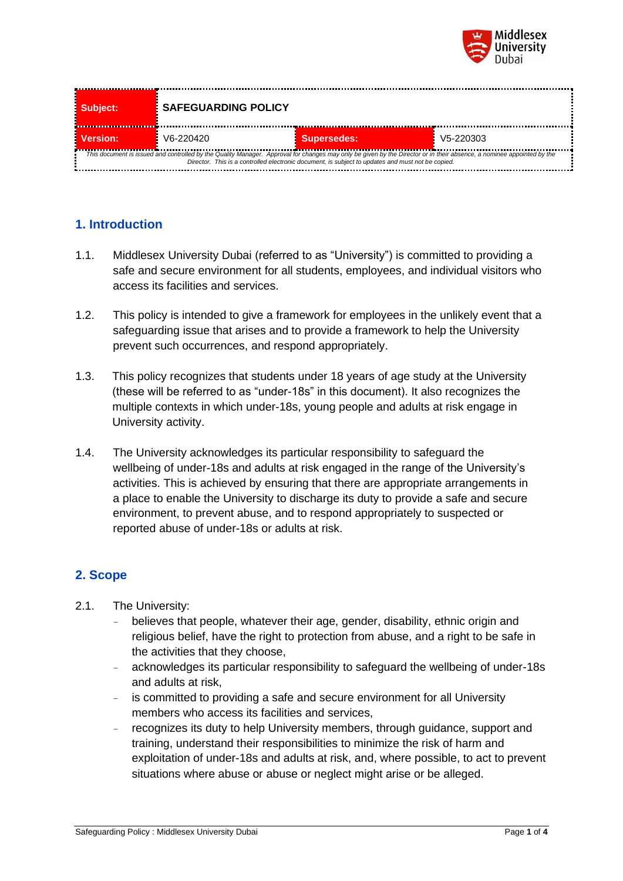

| Subject:                                                                                                                                                                                                                                                                   | <b>SAFEGUARDING POLICY</b> |                    |           |  |
|----------------------------------------------------------------------------------------------------------------------------------------------------------------------------------------------------------------------------------------------------------------------------|----------------------------|--------------------|-----------|--|
| Version:                                                                                                                                                                                                                                                                   | V6-220420                  | <b>Supersedes:</b> | V5-220303 |  |
| This document is issued and controlled by the Quality Manager. Approval for changes may only be given by the Director or in their absence, a nominee appointed by the<br>Director. This is a controlled electronic document, is subject to updates and must not be copied. |                            |                    |           |  |

## **1. Introduction**

- 1.1. Middlesex University Dubai (referred to as "University") is committed to providing a safe and secure environment for all students, employees, and individual visitors who access its facilities and services.
- 1.2. This policy is intended to give a framework for employees in the unlikely event that a safeguarding issue that arises and to provide a framework to help the University prevent such occurrences, and respond appropriately.
- 1.3. This policy recognizes that students under 18 years of age study at the University (these will be referred to as "under-18s" in this document). It also recognizes the multiple contexts in which under-18s, young people and adults at risk engage in University activity.
- 1.4. The University acknowledges its particular responsibility to safeguard the wellbeing of under-18s and adults at risk engaged in the range of the University's activities. This is achieved by ensuring that there are appropriate arrangements in a place to enable the University to discharge its duty to provide a safe and secure environment, to prevent abuse, and to respond appropriately to suspected or reported abuse of under-18s or adults at risk.

# **2. Scope**

- 2.1. The University:
	- believes that people, whatever their age, gender, disability, ethnic origin and religious belief, have the right to protection from abuse, and a right to be safe in the activities that they choose,
	- acknowledges its particular responsibility to safeguard the wellbeing of under-18s and adults at risk,
	- is committed to providing a safe and secure environment for all University members who access its facilities and services,
	- recognizes its duty to help University members, through guidance, support and training, understand their responsibilities to minimize the risk of harm and exploitation of under-18s and adults at risk, and, where possible, to act to prevent situations where abuse or abuse or neglect might arise or be alleged.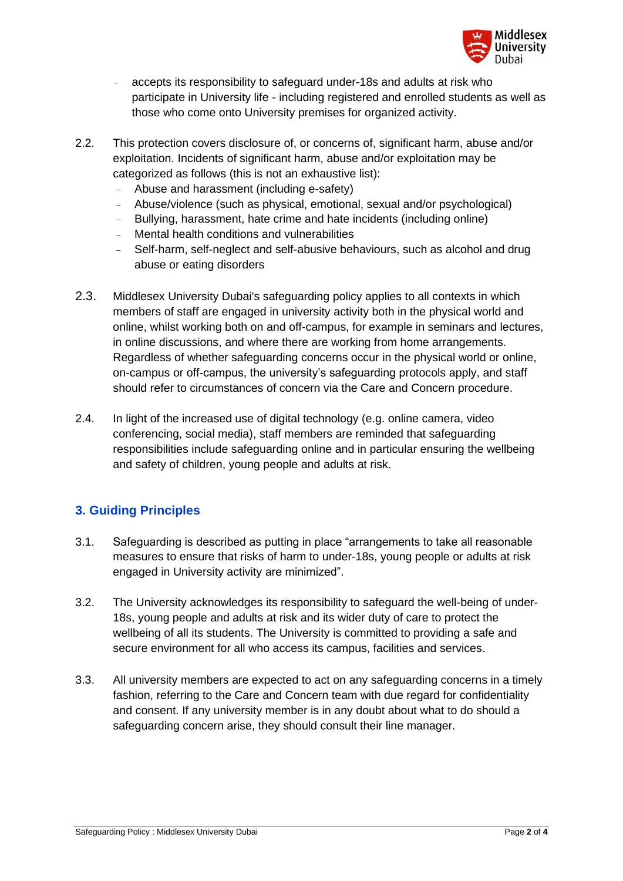

- accepts its responsibility to safeguard under-18s and adults at risk who participate in University life - including registered and enrolled students as well as those who come onto University premises for organized activity.
- 2.2. This protection covers disclosure of, or concerns of, significant harm, abuse and/or exploitation. Incidents of significant harm, abuse and/or exploitation may be categorized as follows (this is not an exhaustive list):
	- Abuse and harassment (including e-safety)
	- Abuse/violence (such as physical, emotional, sexual and/or psychological)
	- Bullying, harassment, hate crime and hate incidents (including online)
	- Mental health conditions and vulnerabilities
	- Self-harm, self-neglect and self-abusive behaviours, such as alcohol and drug abuse or eating disorders
- 2.3. Middlesex University Dubai's safeguarding policy applies to all contexts in which members of staff are engaged in university activity both in the physical world and online, whilst working both on and off-campus, for example in seminars and lectures, in online discussions, and where there are working from home arrangements. Regardless of whether safeguarding concerns occur in the physical world or online, on-campus or off-campus, the university's safeguarding protocols apply, and staff should refer to circumstances of concern via the Care and Concern procedure.
- 2.4. In light of the increased use of digital technology (e.g. online camera, video conferencing, social media), staff members are reminded that safeguarding responsibilities include safeguarding online and in particular ensuring the wellbeing and safety of children, young people and adults at risk.

# **3. Guiding Principles**

- 3.1. Safeguarding is described as putting in place "arrangements to take all reasonable measures to ensure that risks of harm to under-18s, young people or adults at risk engaged in University activity are minimized".
- 3.2. The University acknowledges its responsibility to safeguard the well-being of under-18s, young people and adults at risk and its wider duty of care to protect the wellbeing of all its students. The University is committed to providing a safe and secure environment for all who access its campus, facilities and services.
- 3.3. All university members are expected to act on any safeguarding concerns in a timely fashion, referring to the Care and Concern team with due regard for confidentiality and consent. If any university member is in any doubt about what to do should a safeguarding concern arise, they should consult their line manager.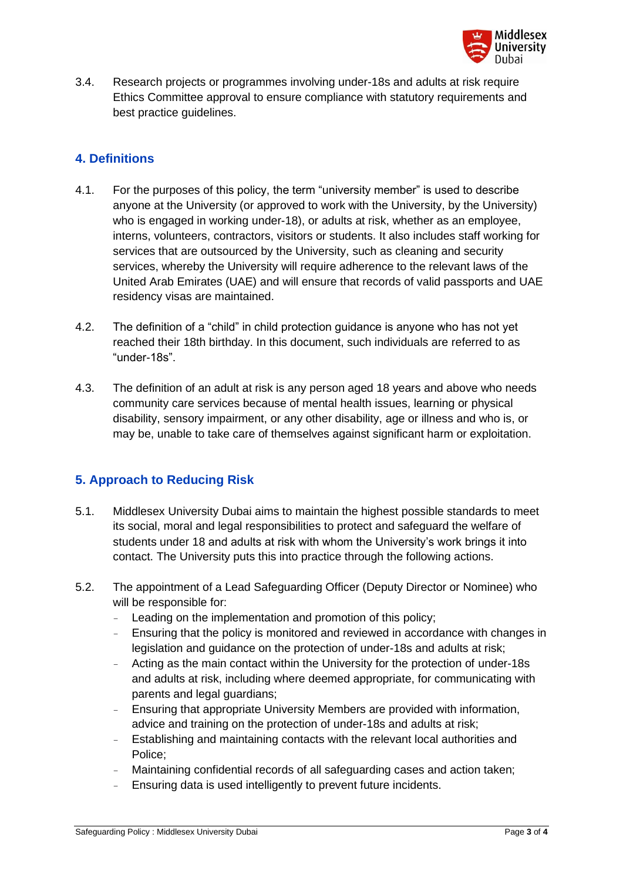

3.4. Research projects or programmes involving under-18s and adults at risk require Ethics Committee approval to ensure compliance with statutory requirements and best practice guidelines.

#### **4. Definitions**

- 4.1. For the purposes of this policy, the term "university member" is used to describe anyone at the University (or approved to work with the University, by the University) who is engaged in working under-18), or adults at risk, whether as an employee, interns, volunteers, contractors, visitors or students. It also includes staff working for services that are outsourced by the University, such as cleaning and security services, whereby the University will require adherence to the relevant laws of the United Arab Emirates (UAE) and will ensure that records of valid passports and UAE residency visas are maintained.
- 4.2. The definition of a "child" in child protection guidance is anyone who has not yet reached their 18th birthday. In this document, such individuals are referred to as "under-18s".
- 4.3. The definition of an adult at risk is any person aged 18 years and above who needs community care services because of mental health issues, learning or physical disability, sensory impairment, or any other disability, age or illness and who is, or may be, unable to take care of themselves against significant harm or exploitation.

# **5. Approach to Reducing Risk**

- 5.1. Middlesex University Dubai aims to maintain the highest possible standards to meet its social, moral and legal responsibilities to protect and safeguard the welfare of students under 18 and adults at risk with whom the University's work brings it into contact. The University puts this into practice through the following actions.
- 5.2. The appointment of a Lead Safeguarding Officer (Deputy Director or Nominee) who will be responsible for:
	- Leading on the implementation and promotion of this policy;
	- Ensuring that the policy is monitored and reviewed in accordance with changes in legislation and guidance on the protection of under-18s and adults at risk;
	- Acting as the main contact within the University for the protection of under-18s and adults at risk, including where deemed appropriate, for communicating with parents and legal guardians;
	- Ensuring that appropriate University Members are provided with information, advice and training on the protection of under-18s and adults at risk;
	- Establishing and maintaining contacts with the relevant local authorities and Police;
	- Maintaining confidential records of all safeguarding cases and action taken;
	- Ensuring data is used intelligently to prevent future incidents.